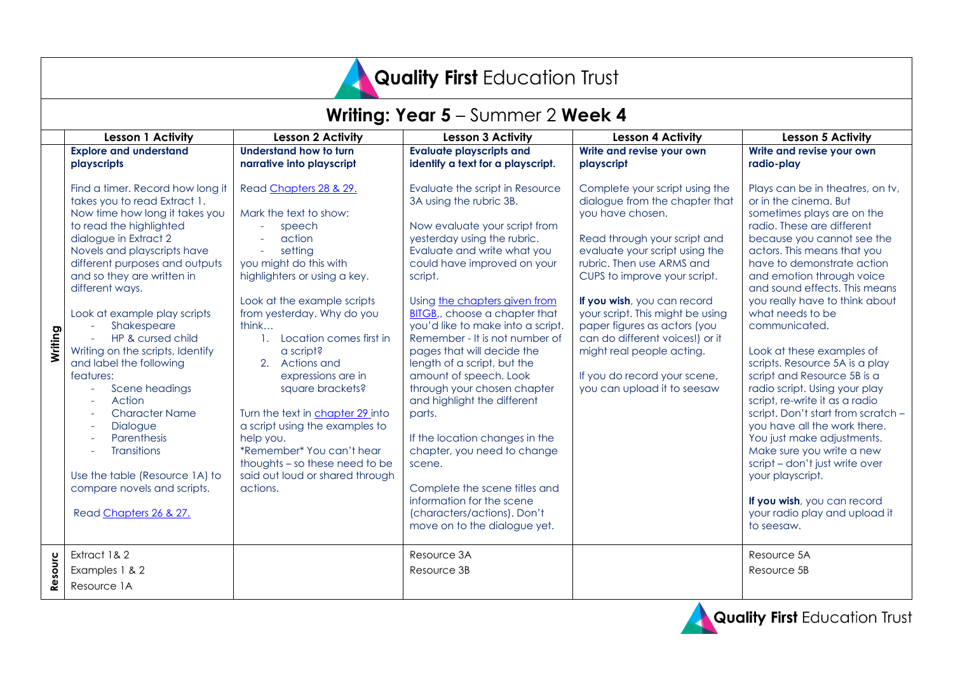# Quality First Education Trust

|         | Writing: Year 5 - Summer 2 Week 4                                                                                                                                                                                                                                                                                                                                                                                                                                                                                                                                                                                         |                                                                                                                                                                                                                                                                                                                                                                                                                                                                                                                         |                                                                                                                                                                                                                                                                                                                                                                                                                                                                                                                                                                                                                                                                                                                             |                                                                                                                                                                                                                                                                                                                                                                                                                                                       |                                                                                                                                                                                                                                                                                                                                                                                                                                                                                                                                                                                                                                                                                                                                                                                             |
|---------|---------------------------------------------------------------------------------------------------------------------------------------------------------------------------------------------------------------------------------------------------------------------------------------------------------------------------------------------------------------------------------------------------------------------------------------------------------------------------------------------------------------------------------------------------------------------------------------------------------------------------|-------------------------------------------------------------------------------------------------------------------------------------------------------------------------------------------------------------------------------------------------------------------------------------------------------------------------------------------------------------------------------------------------------------------------------------------------------------------------------------------------------------------------|-----------------------------------------------------------------------------------------------------------------------------------------------------------------------------------------------------------------------------------------------------------------------------------------------------------------------------------------------------------------------------------------------------------------------------------------------------------------------------------------------------------------------------------------------------------------------------------------------------------------------------------------------------------------------------------------------------------------------------|-------------------------------------------------------------------------------------------------------------------------------------------------------------------------------------------------------------------------------------------------------------------------------------------------------------------------------------------------------------------------------------------------------------------------------------------------------|---------------------------------------------------------------------------------------------------------------------------------------------------------------------------------------------------------------------------------------------------------------------------------------------------------------------------------------------------------------------------------------------------------------------------------------------------------------------------------------------------------------------------------------------------------------------------------------------------------------------------------------------------------------------------------------------------------------------------------------------------------------------------------------------|
|         | <b>Lesson 1 Activity</b>                                                                                                                                                                                                                                                                                                                                                                                                                                                                                                                                                                                                  | <b>Lesson 2 Activity</b>                                                                                                                                                                                                                                                                                                                                                                                                                                                                                                | <b>Lesson 3 Activity</b>                                                                                                                                                                                                                                                                                                                                                                                                                                                                                                                                                                                                                                                                                                    | <b>Lesson 4 Activity</b>                                                                                                                                                                                                                                                                                                                                                                                                                              | <b>Lesson 5 Activity</b>                                                                                                                                                                                                                                                                                                                                                                                                                                                                                                                                                                                                                                                                                                                                                                    |
|         | <b>Explore and understand</b><br>playscripts                                                                                                                                                                                                                                                                                                                                                                                                                                                                                                                                                                              | Understand how to turn<br>narrative into playscript                                                                                                                                                                                                                                                                                                                                                                                                                                                                     | <b>Evaluate playscripts and</b><br>identify a text for a playscript.                                                                                                                                                                                                                                                                                                                                                                                                                                                                                                                                                                                                                                                        | Write and revise your own<br>playscript                                                                                                                                                                                                                                                                                                                                                                                                               | Write and revise your own<br>radio-play                                                                                                                                                                                                                                                                                                                                                                                                                                                                                                                                                                                                                                                                                                                                                     |
| Writing | Find a timer. Record how long it<br>takes you to read Extract 1.<br>Now time how long it takes you<br>to read the highlighted<br>dialogue in Extract 2<br>Novels and playscripts have<br>different purposes and outputs<br>and so they are written in<br>different ways.<br>Look at example play scripts<br>Shakespeare<br>HP & cursed child<br>Writing on the scripts, Identify<br>and label the following<br>features:<br>Scene headings<br>Action<br><b>Character Name</b><br>Dialogue<br>Parenthesis<br><b>Transitions</b><br>Use the table (Resource 1A) to<br>compare novels and scripts.<br>Read Chapters 26 & 27. | Read Chapters 28 & 29.<br>Mark the text to show:<br>speech<br>action<br>setting<br>you might do this with<br>highlighters or using a key.<br>Look at the example scripts<br>from yesterday. Why do you<br>think<br>1. Location comes first in<br>a script?<br>2. Actions and<br>expressions are in<br>square brackets?<br>Turn the text in chapter 29 into<br>a script using the examples to<br>help you.<br>*Remember* You can't hear<br>thoughts - so these need to be<br>said out loud or shared through<br>actions. | Evaluate the script in Resource<br>3A using the rubric 3B.<br>Now evaluate your script from<br>yesterday using the rubric.<br>Evaluate and write what you<br>could have improved on your<br>script.<br>Using the chapters given from<br><b>BITGB</b> ,, choose a chapter that<br>you'd like to make into a script.<br>Remember - It is not number of<br>pages that will decide the<br>length of a script, but the<br>amount of speech. Look<br>through your chosen chapter<br>and highlight the different<br>parts.<br>If the location changes in the<br>chapter, you need to change<br>scene.<br>Complete the scene titles and<br>information for the scene<br>(characters/actions). Don't<br>move on to the dialogue yet. | Complete your script using the<br>dialogue from the chapter that<br>you have chosen.<br>Read through your script and<br>evaluate your script using the<br>rubric. Then use ARMS and<br>CUPS to improve your script.<br>If you wish, you can record<br>your script. This might be using<br>paper figures as actors (you<br>can do different voices!) or it<br>might real people acting.<br>If you do record your scene,<br>you can upload it to seesaw | Plays can be in theatres, on tv,<br>or in the cinema. But<br>sometimes plays are on the<br>radio. These are different<br>because you cannot see the<br>actors. This means that you<br>have to demonstrate action<br>and emotion through voice<br>and sound effects. This means<br>you really have to think about<br>what needs to be<br>communicated.<br>Look at these examples of<br>scripts. Resource 5A is a play<br>script and Resource 5B is a<br>radio script. Using your play<br>script, re-write it as a radio<br>script. Don't start from scratch -<br>you have all the work there.<br>You just make adjustments.<br>Make sure you write a new<br>script - don't just write over<br>your playscript.<br>If you wish, you can record<br>your radio play and upload it<br>to seesaw. |
| Resourc | Extract 1& 2<br>Examples 1 & 2<br>Resource 1A                                                                                                                                                                                                                                                                                                                                                                                                                                                                                                                                                                             |                                                                                                                                                                                                                                                                                                                                                                                                                                                                                                                         | Resource 3A<br>Resource 3B                                                                                                                                                                                                                                                                                                                                                                                                                                                                                                                                                                                                                                                                                                  |                                                                                                                                                                                                                                                                                                                                                                                                                                                       | Resource 5A<br>Resource 5B                                                                                                                                                                                                                                                                                                                                                                                                                                                                                                                                                                                                                                                                                                                                                                  |

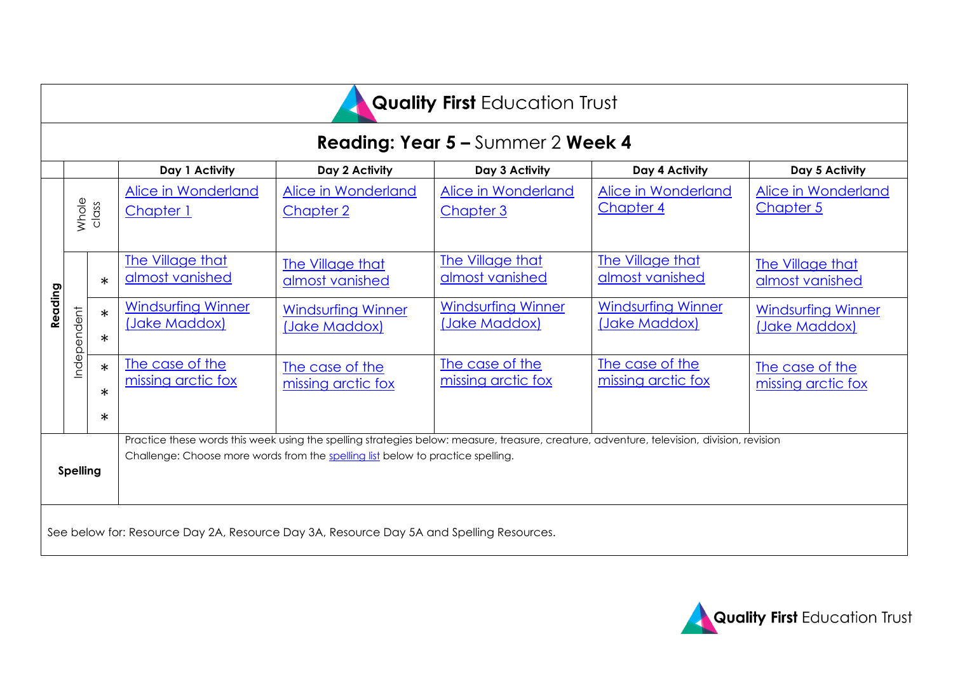| <b>Quality First Education Trust</b>                                                     |                                          |                            |                                                                                                                                                                                                                               |                                            |                                            |                                            |                                            |
|------------------------------------------------------------------------------------------|------------------------------------------|----------------------------|-------------------------------------------------------------------------------------------------------------------------------------------------------------------------------------------------------------------------------|--------------------------------------------|--------------------------------------------|--------------------------------------------|--------------------------------------------|
|                                                                                          | <b>Reading: Year 5 – Summer 2 Week 4</b> |                            |                                                                                                                                                                                                                               |                                            |                                            |                                            |                                            |
|                                                                                          |                                          |                            | Day 1 Activity                                                                                                                                                                                                                | Day 2 Activity                             | Day 3 Activity                             | Day 4 Activity                             | Day 5 Activity                             |
|                                                                                          | Whole                                    | class                      | Alice in Wonderland<br>Chapter 1                                                                                                                                                                                              | Alice in Wonderland<br><b>Chapter 2</b>    | Alice in Wonderland<br>Chapter 3           | Alice in Wonderland<br>Chapter 4           | Alice in Wonderland<br><b>Chapter 5</b>    |
|                                                                                          | Independent                              | $\ast$                     | The Village that<br>almost vanished                                                                                                                                                                                           | <b>The Village that</b><br>almost vanished | The Village that<br>almost vanished        | The Village that<br>almost vanished        | The Village that<br>almost vanished        |
| Reading                                                                                  |                                          | $\ast$<br>$\ast$           | <b>Windsurfing Winner</b><br>(Jake Maddox)                                                                                                                                                                                    | <b>Windsurfing Winner</b><br>(Jake Maddox) | <b>Windsurfing Winner</b><br>(Jake Maddox) | <b>Windsurfing Winner</b><br>(Jake Maddox) | <b>Windsurfing Winner</b><br>(Jake Maddox) |
|                                                                                          |                                          | $\ast$<br>$\ast$<br>$\ast$ | The case of the<br>missing arctic fox                                                                                                                                                                                         | The case of the<br>missing arctic fox      | The case of the<br>missing arctic fox      | The case of the<br>missing arctic fox      | The case of the<br>missing arctic fox      |
| <b>Spelling</b>                                                                          |                                          |                            | Practice these words this week using the spelling strategies below: measure, treasure, creature, adventure, television, division, revision<br>Challenge: Choose more words from the spelling list below to practice spelling. |                                            |                                            |                                            |                                            |
| See below for: Resource Day 2A, Resource Day 3A, Resource Day 5A and Spelling Resources. |                                          |                            |                                                                                                                                                                                                                               |                                            |                                            |                                            |                                            |

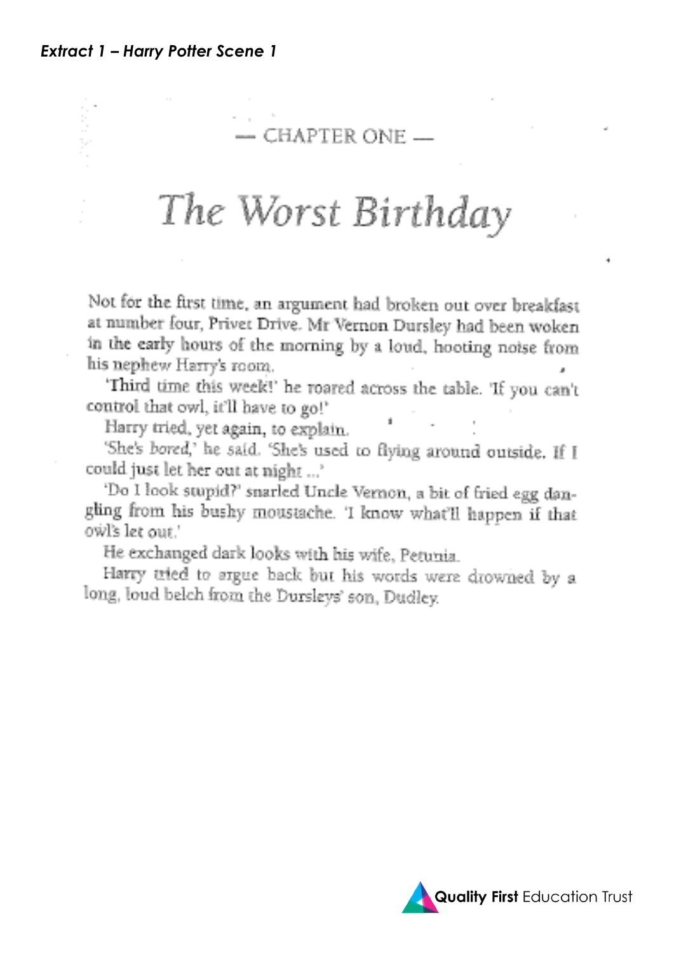# $-$  CHAPTER ONE  $-$

# The Worst Birthday

Not for the first time, an argument had broken out over breakfast at number four, Privet Drive. Mr Vernon Dursley had been woken in the early hours of the morning by a loud, hooting noise from his nephew Harry's room.

'Third time this week!' he roared across the table. 'If you can't control that owl, it'll have to go!'

Harry tried, yet again, to explain.

'She's bored,' he said. 'She's used to flying around outside. If I could just let her out at night ...'

'Do I look stupid?' snarled Uncle Vernon, a bit of fried egg dangling from his bushy moustache. 'I know what'll happen if that owl's let out.'

He exchanged dark looks with his wife, Petunia.

Harry tried to argue back but his words were drowned by a long, loud belch from the Dursleys' son, Dudley.

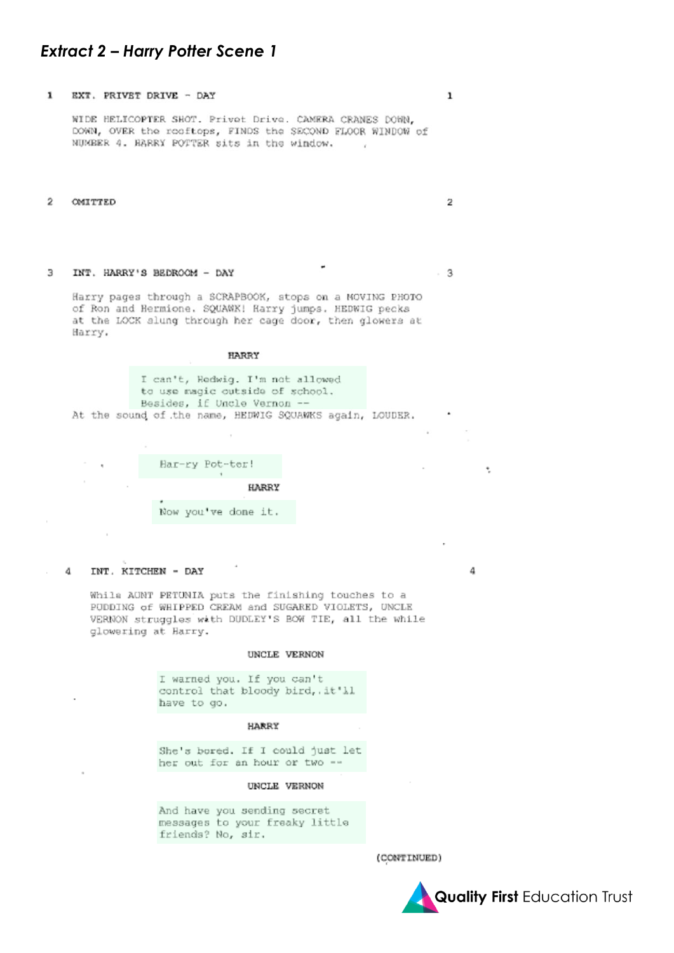#### **Extract 2 - Harry Potter Scene 1**

#### $\mathbf{1}$ EXT. PRIVET DRIVE - DAY

WIDE HELICOPTER SHOT. Privet Drive. CAMERA CRANES DOWN, DOWN, OVER the rooftops, FINDS the SECOND FLOOR WINDOW of NUMBER 4. HARRY POTTER sits in the window. - 16

#### $\mathfrak{D}$ **OMITTED**

#### INT. HARRY'S BEDROOM - DAY 3

 $3$ 

4

 $\mathbf{1}$ 

 $\overline{2}$ 

Harry pages through a SCRAPBOOK, stops on a MOVING PHOTO of Ron and Hermione. SQUAWX! Harry jumps. HEDWIG pecks at the LOCK slung through her cage door, then glowers at Harry.

| HARRY                                                                                                                                                         |  |
|---------------------------------------------------------------------------------------------------------------------------------------------------------------|--|
| I can't, Hedwig. I'm not allowed<br>to use magic outside of school.<br>Besides, if Uncle Vernon --<br>At the sound of the name, HEDWIG SQUAWKS again, LOUDER. |  |

| Har-ry Pot-ter!     |
|---------------------|
| HARRY               |
| Now you've done it. |

#### 4 INT. KITCHEN - DAY

While AUNT PETUNIA puts the finishing touches to a PUDDING of WHIPPED CREAM and SUGARED VIOLETS, UNCLE VERNON struggles with DUDLEY'S BOW TIE, all the while glowering at Harry.

#### UNCLE VERNON

I warned you. If you can't control that bloody bird, .it'll have to go.

#### HARRY

She's bored. If I could just let her out for an hour or two --

#### UNCLE VERNON

And have you sending secret messages to your freaky little friends? No, sir.

(CONTINUED)

**Quality First Education Trust**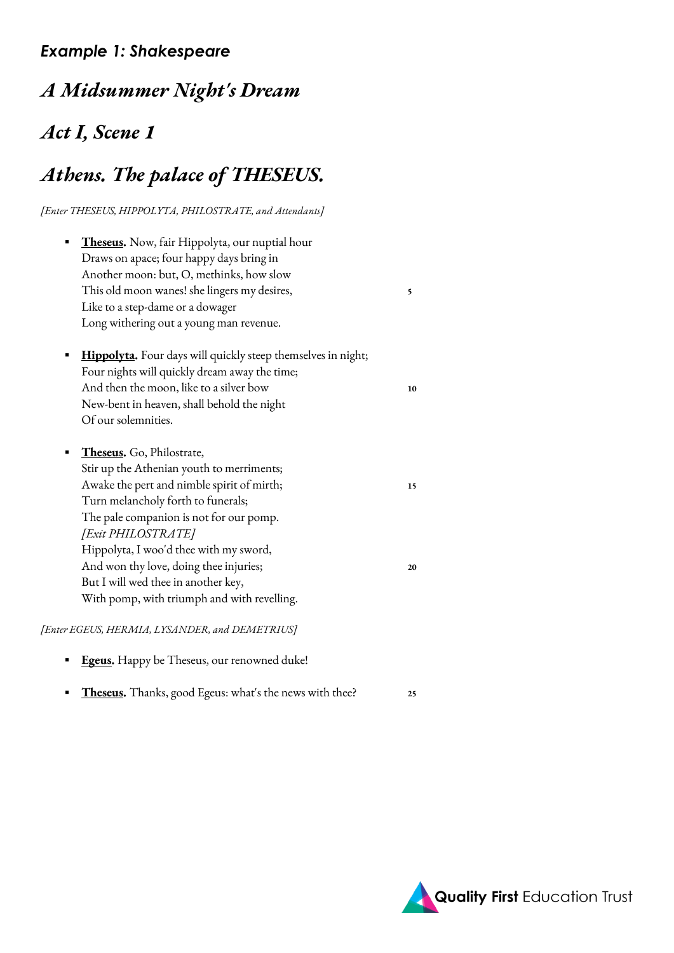### *Example 1: Shakespeare*

# *A Midsummer Night's Dream*

# *Act I, Scene 1*

# *Athens. The palace of THESEUS.*

*[Enter THESEUS, HIPPOLYTA, PHILOSTRATE, and Attendants]*

| <b>Theseus.</b> Now, fair Hippolyta, our nuptial hour<br>Draws on apace; four happy days bring in<br>Another moon: but, O, methinks, how slow<br>This old moon wanes! she lingers my desires,<br>Like to a step-dame or a dowager<br>Long withering out a young man revenue.                                                                                                                          | 5        |
|-------------------------------------------------------------------------------------------------------------------------------------------------------------------------------------------------------------------------------------------------------------------------------------------------------------------------------------------------------------------------------------------------------|----------|
| <b>Hippolyta.</b> Four days will quickly steep themselves in night;<br>Four nights will quickly dream away the time;<br>And then the moon, like to a silver bow<br>New-bent in heaven, shall behold the night<br>Of our solemnities.                                                                                                                                                                  | 10       |
| Theseus. Go, Philostrate,<br>Stir up the Athenian youth to merriments;<br>Awake the pert and nimble spirit of mirth;<br>Turn melancholy forth to funerals;<br>The pale companion is not for our pomp.<br>[Exit PHILOSTRATE]<br>Hippolyta, I woo'd thee with my sword,<br>And won thy love, doing thee injuries;<br>But I will wed thee in another key,<br>With pomp, with triumph and with revelling. | 15<br>20 |

#### *[Enter EGEUS, HERMIA, LYSANDER, and DEMETRIUS]*

- **[Egeus.](https://www.opensourceshakespeare.org/views/plays/characters/charlines.php?CharID=Egeus&WorkID=midsummer)** Happy be Theseus, our renowned duke!
- **[Theseus.](https://www.opensourceshakespeare.org/views/plays/characters/charlines.php?CharID=Theseus&WorkID=midsummer)** Thanks, good Egeus: what's the news with thee? **<sup>25</sup>**

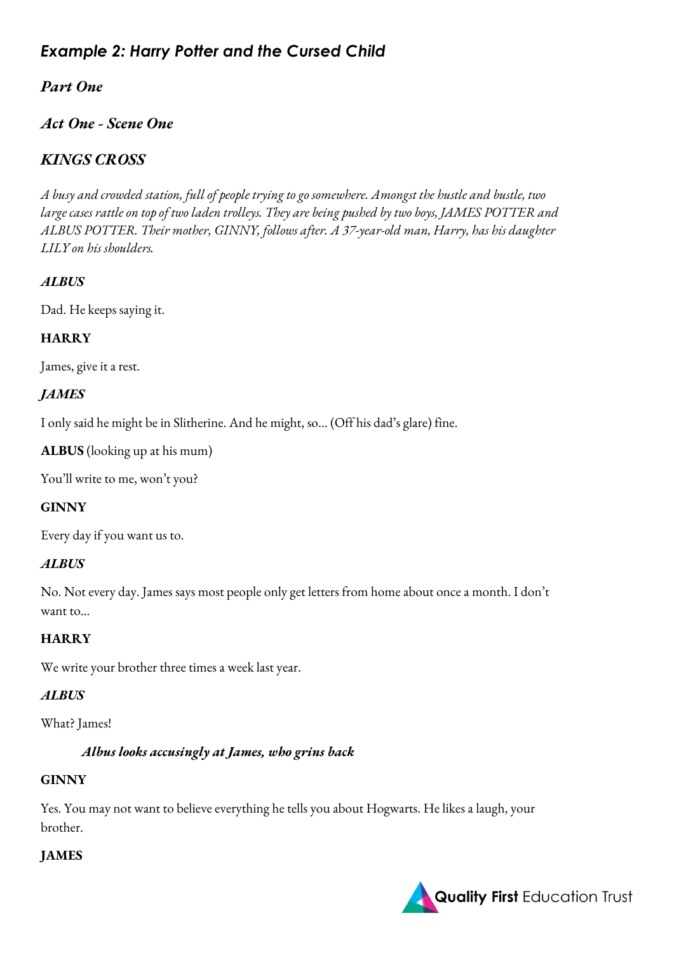# *Example 2: Harry Potter and the Cursed Child*

### *Part One*

### *Act One - Scene One*

### *KINGS CROSS*

*A busy and crowded station, full of people trying to go somewhere. Amongst the hustle and bustle, two large cases rattle on top of two laden trolleys. They are being pushed by two boys, JAMES POTTER and ALBUS POTTER. Their mother, GINNY, follows after. A 37-year-old man, Harry, has his daughter LILY on his shoulders.*

#### *ALBUS*

Dad. He keeps saying it.

#### **HARRY**

James, give it a rest.

#### *JAMES*

I only said he might be in Slitherine. And he might, so… (Off his dad's glare) fine.

**ALBUS** (looking up at his mum)

You'll write to me, won't you?

#### **GINNY**

Every day if you want us to.

#### *ALBUS*

No. Not every day. James says most people only get letters from home about once a month. I don't want to…

#### **HARRY**

We write your brother three times a week last year.

#### *ALBUS*

What? James!

#### *Albus looks accusingly at James, who grins back*

#### **GINNY**

Yes. You may not want to believe everything he tells you about Hogwarts. He likes a laugh, your brother.

#### **JAMES**

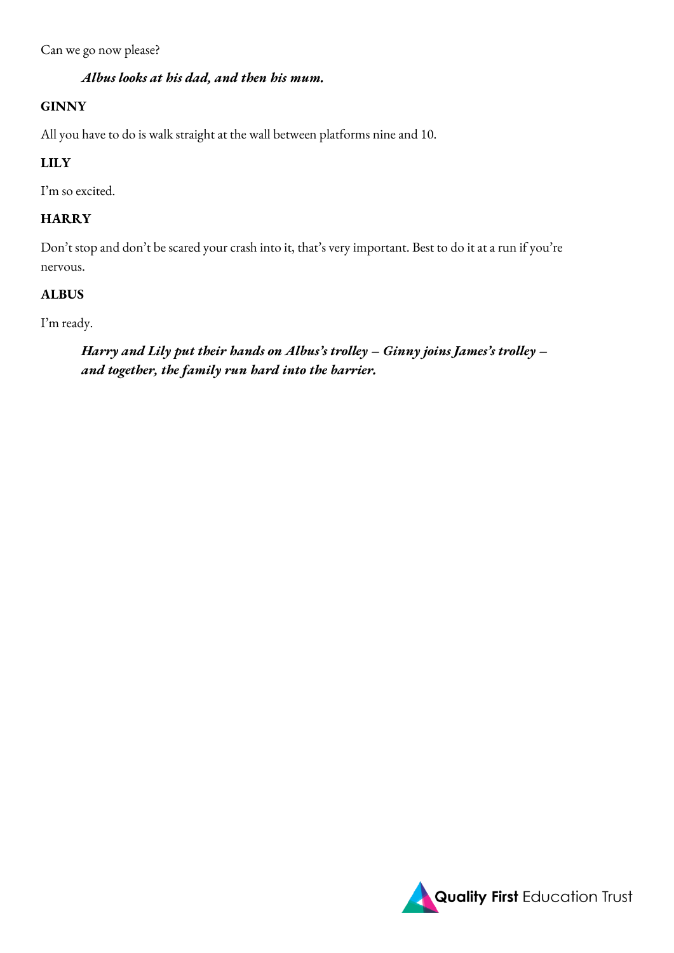Can we go now please?

#### *Albus looks at his dad, and then his mum.*

#### **GINNY**

All you have to do is walk straight at the wall between platforms nine and 10.

#### **LILY**

I'm so excited.

#### **HARRY**

Don't stop and don't be scared your crash into it, that's very important. Best to do it at a run if you're nervous.

#### **ALBUS**

I'm ready.

#### *Harry and Lily put their hands on Albus's trolley – Ginny joins James's trolley – and together, the family run hard into the barrier.*

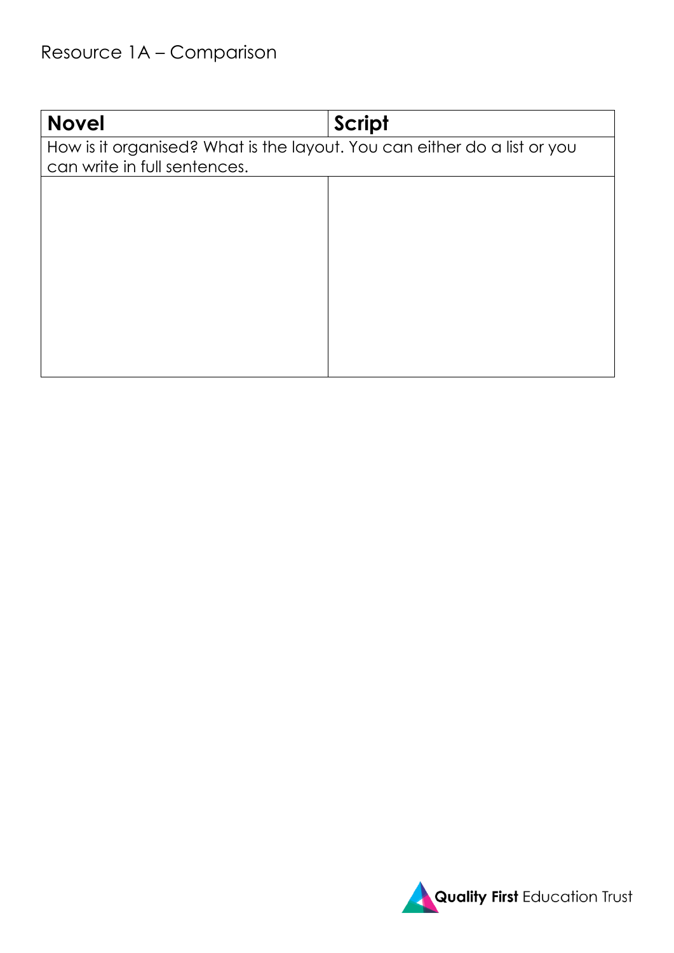# Resource 1A – Comparison

| <b>Novel</b>                                                             | <b>Script</b> |  |  |
|--------------------------------------------------------------------------|---------------|--|--|
| How is it organised? What is the layout. You can either do a list or you |               |  |  |
| can write in full sentences.                                             |               |  |  |
|                                                                          |               |  |  |
|                                                                          |               |  |  |
|                                                                          |               |  |  |
|                                                                          |               |  |  |
|                                                                          |               |  |  |
|                                                                          |               |  |  |
|                                                                          |               |  |  |
|                                                                          |               |  |  |
|                                                                          |               |  |  |
|                                                                          |               |  |  |
|                                                                          |               |  |  |

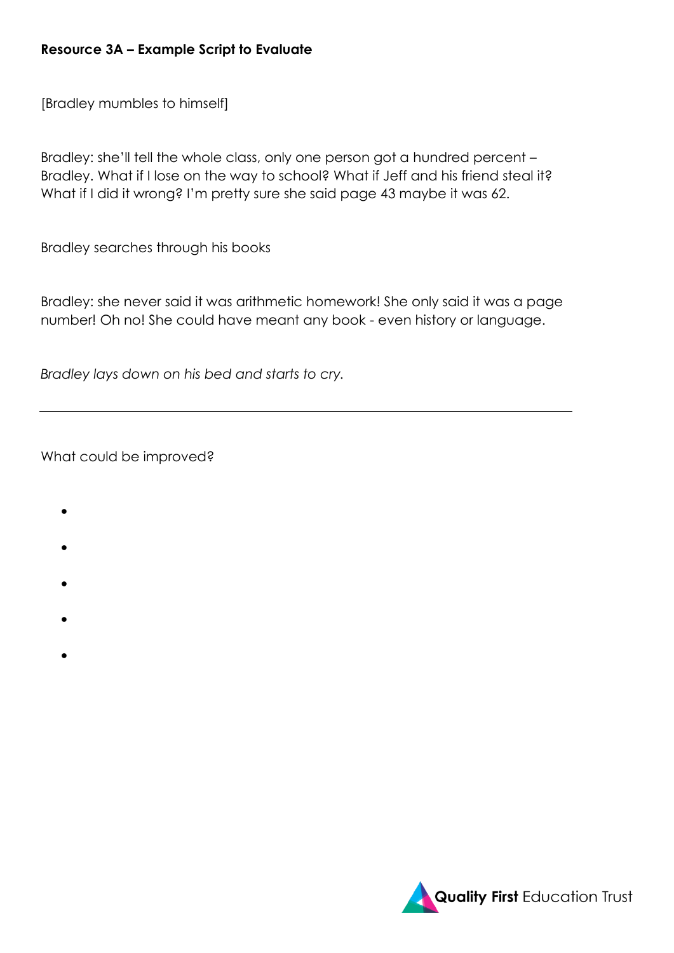#### **Resource 3A – Example Script to Evaluate**

[Bradley mumbles to himself]

Bradley: she'll tell the whole class, only one person got a hundred percent – Bradley. What if I lose on the way to school? What if Jeff and his friend steal it? What if I did it wrong? I'm pretty sure she said page 43 maybe it was 62.

Bradley searches through his books

Bradley: she never said it was arithmetic homework! She only said it was a page number! Oh no! She could have meant any book - even history or language.

*Bradley lays down on his bed and starts to cry.*

What could be improved?

- •
- 
- •
- •
- 
- •
- •

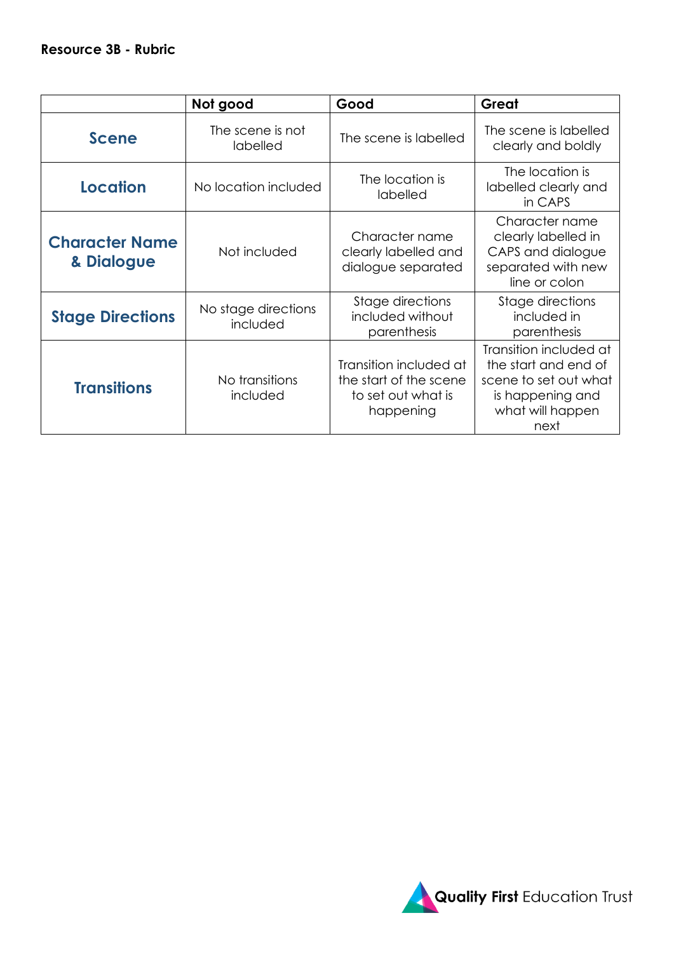|                                     | Not good                        | Good                                                                                | Great                                                                                                                   |
|-------------------------------------|---------------------------------|-------------------------------------------------------------------------------------|-------------------------------------------------------------------------------------------------------------------------|
| <b>Scene</b>                        | The scene is not<br>labelled    | The scene is labelled                                                               | The scene is labelled<br>clearly and boldly                                                                             |
| Location                            | No location included            | The location is<br>labelled                                                         | The location is<br>labelled clearly and<br>in CAPS                                                                      |
| <b>Character Name</b><br>& Dialogue | Not included                    | Character name<br>clearly labelled and<br>dialogue separated                        | Character name<br>clearly labelled in<br>CAPS and dialogue<br>separated with new<br>line or colon                       |
| <b>Stage Directions</b>             | No stage directions<br>included | Stage directions<br>included without<br>parenthesis                                 | Stage directions<br>included in<br>parenthesis                                                                          |
| <b>Transitions</b>                  | No transitions<br>included      | Transition included at<br>the start of the scene<br>to set out what is<br>happening | Transition included at<br>the start and end of<br>scene to set out what<br>is happening and<br>what will happen<br>next |

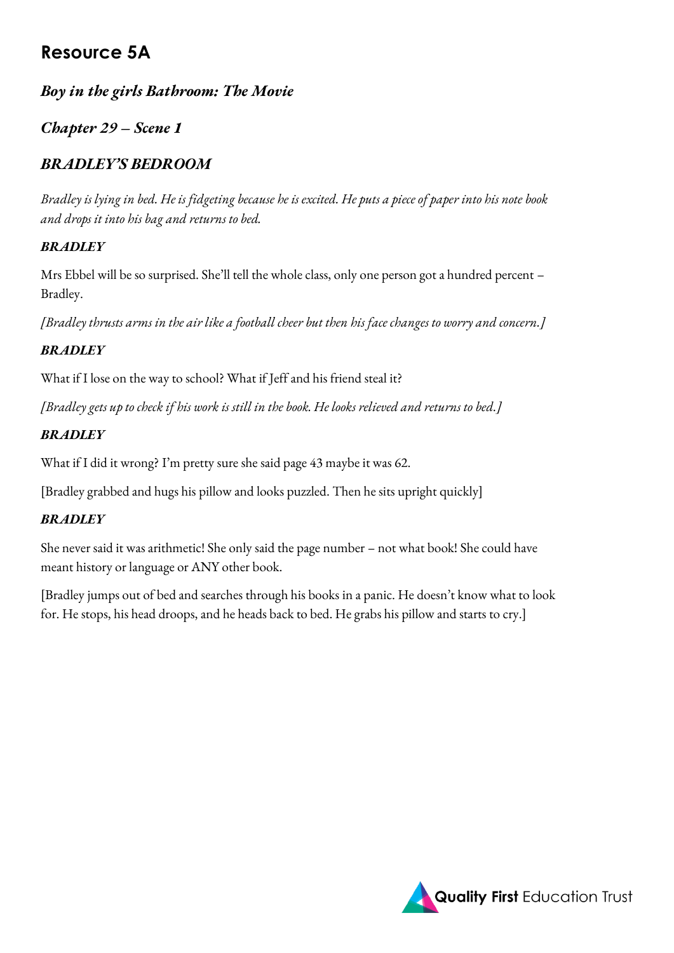# **Resource 5A**

### *Boy in the girls Bathroom: The Movie*

### *Chapter 29 – Scene 1*

# *BRADLEY'S BEDROOM*

*Bradley is lying in bed. He is fidgeting because he is excited. He puts a piece of paper into his note book and drops it into his bag and returns to bed.*

#### *BRADLEY*

Mrs Ebbel will be so surprised. She'll tell the whole class, only one person got a hundred percent – Bradley.

*[Bradley thrusts arms in the air like a football cheer but then his face changes to worry and concern.]*

#### *BRADLEY*

What if I lose on the way to school? What if Jeff and his friend steal it?

*[Bradley gets up to check if his work is still in the book. He looks relieved and returns to bed.]*

#### *BRADLEY*

What if I did it wrong? I'm pretty sure she said page 43 maybe it was 62.

[Bradley grabbed and hugs his pillow and looks puzzled. Then he sits upright quickly]

### *BRADLEY*

She never said it was arithmetic! She only said the page number – not what book! She could have meant history or language or ANY other book.

[Bradley jumps out of bed and searches through his books in a panic. He doesn't know what to look for. He stops, his head droops, and he heads back to bed. He grabs his pillow and starts to cry.]